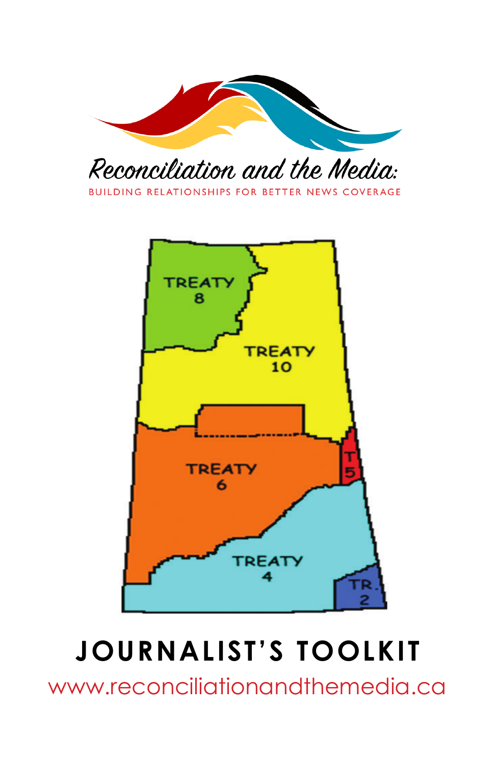

BUILDING RELATIONSHIPS FOR BETTER NEWS COVERAGE



# **JOURNALIST'S TOOLKIT**

www.reconciliationandthemedia.ca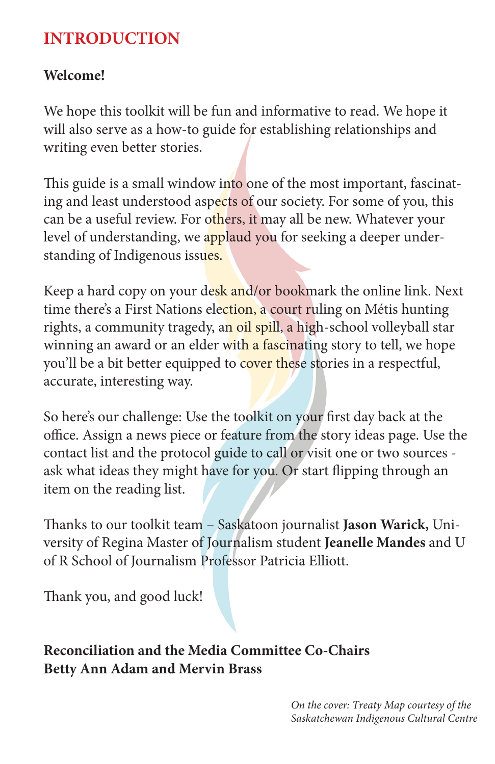## **INTRODUCTION**

#### **Welcome!**

We hope this toolkit will be fun and informative to read. We hope it will also serve as a how-to guide for establishing relationships and writing even better stories.

This guide is a small window into one of the most important, fascinating and least understood aspects of our society. For some of you, this can be a useful review. For others, it may all be new. Whatever your level of understanding, we applaud you for seeking a deeper understanding of Indigenous issues.

Keep a hard copy on your desk and/or bookmark the online link. Next time there's a First Nations election, a court ruling on Métis hunting rights, a community tragedy, an oil spill, a high-school volleyball star winning an award or an elder with a fascinating story to tell, we hope you'll be a bit better equipped to cover these stories in a respectful, accurate, interesting way.

So here's our challenge: Use the toolkit on your first day back at the office. Assign a news piece or feature from the story ideas page. Use the contact list and the protocol guide to call or visit one or two sources ask what ideas they might have for you. Or start flipping through an item on the reading list.

Thanks to our toolkit team – Saskatoon journalist **Jason Warick,** University of Regina Master of Journalism student **Jeanelle Mandes** and U of R School of Journalism Professor Patricia Elliott.

Thank you, and good luck!

**Reconciliation and the Media Committee Co-Chairs Betty Ann Adam and Mervin Brass**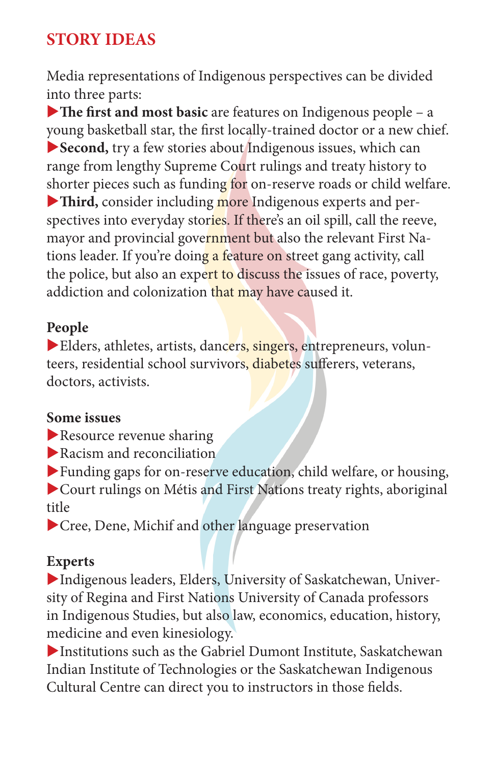## **STORY IDEAS**

Media representations of Indigenous perspectives can be divided into three parts:

The first and most basic are features on Indigenous people – a young basketball star, the first locally-trained doctor or a new chief. u**Second,** try a few stories about Indigenous issues, which can range from lengthy Supreme Court rulings and treaty history to shorter pieces such as funding for on-reserve roads or child welfare. Third, consider including more Indigenous experts and perspectives into everyday stories. If there's an oil spill, call the reeve, mayor and provincial government but also the relevant First Nations leader. If you're doing a feature on street gang activity, call the police, but also an expert to discuss the issues of race, poverty, addiction and colonization that may have caused it.

#### **People**

 $\blacktriangleright$  Elders, athletes, artists, dancers, singers, entrepreneurs, volunteers, residential school survivors, diabetes sufferers, veterans, doctors, activists.

#### **Some issues**

- $\blacktriangleright$  Resource revenue sharing
- $\blacktriangleright$  Racism and reconciliation

 $\blacktriangleright$  Funding gaps for on-reserve education, child welfare, or housing,  $\blacktriangleright$  Court rulings on Métis and First Nations treaty rights, aboriginal title

 $\blacktriangleright$  Cree, Dene, Michif and other language preservation

#### **Experts**

Indigenous leaders, Elders, University of Saskatchewan, University of Regina and First Nations University of Canada professors in Indigenous Studies, but also law, economics, education, history, medicine and even kinesiology.

Institutions such as the Gabriel Dumont Institute, Saskatchewan Indian Institute of Technologies or the Saskatchewan Indigenous Cultural Centre can direct you to instructors in those fields.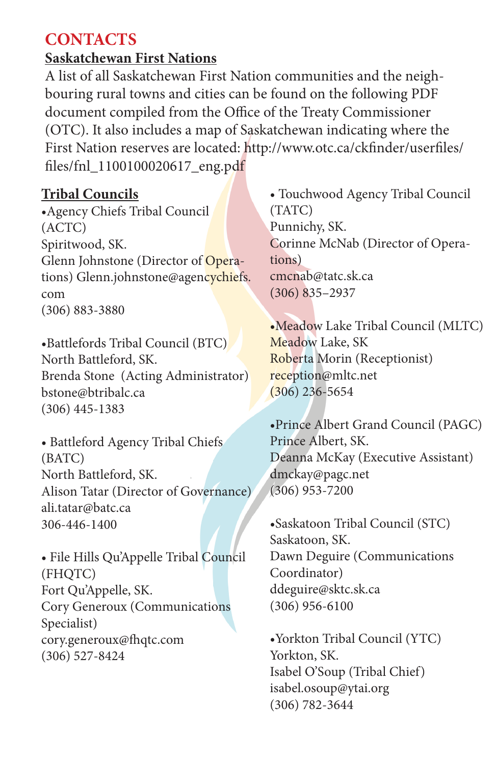### **CONTACTS**

#### **Saskatchewan First Nations**

A list of all Saskatchewan First Nation communities and the neighbouring rural towns and cities can be found on the following PDF document compiled from the Office of the Treaty Commissioner (OTC). It also includes a map of Saskatchewan indicating where the First Nation reserves are located: http://www.otc.ca/ckfinder/userfiles/ files/fnl\_1100100020617\_eng.pdf

#### **Tribal Councils**

•Agency Chiefs Tribal Council (ACTC) Spiritwood, SK. Glenn Johnstone (Director of Operations) Glenn.johnstone@agencychiefs. com (306) 883-3880

•Battlefords Tribal Council (BTC) North Battleford, SK. Brenda Stone (Acting Administrator) bstone@btribalc.ca (306) 445-1383

• Battleford Agency Tribal Chiefs (BATC) North Battleford, SK. Alison Tatar (Director of Governance) ali.tatar@batc.ca 306-446-1400

• File Hills Qu'Appelle Tribal Council (FHQTC) Fort Qu'Appelle, SK. Cory Generoux (Communications Specialist) cory.generoux@fhqtc.com (306) 527-8424

• Touchwood Agency Tribal Council (TATC) Punnichy, SK. Corinne McNab (Director of Operations) cmcnab@tatc.sk.ca (306) 835–2937

•Meadow Lake Tribal Council (MLTC) Meadow Lake, SK Roberta Morin (Receptionist) reception@mltc.net (306) 236-5654

•Prince Albert Grand Council (PAGC) Prince Albert, SK. Deanna McKay (Executive Assistant) dmckay@pagc.net (306) 953-7200

•Saskatoon Tribal Council (STC) Saskatoon, SK. Dawn Deguire (Communications Coordinator) ddeguire@sktc.sk.ca (306) 956-6100

•Yorkton Tribal Council (YTC) Yorkton, SK. Isabel O'Soup (Tribal Chief) isabel.osoup@ytai.org (306) 782-3644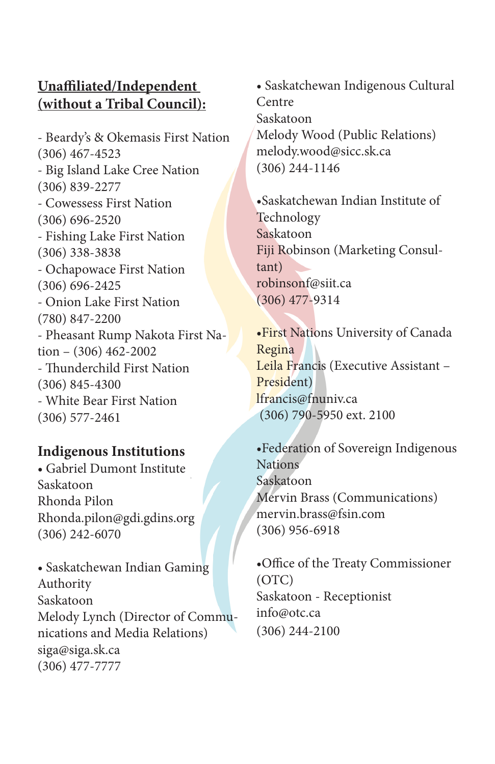#### **Unaffiliated/Independent (without a Tribal Council):**

- Beardy's & Okemasis First Nation (306) 467-4523 - Big Island Lake Cree Nation (306) 839-2277 - Cowessess First Nation (306) 696-2520 - Fishing Lake First Nation (306) 338-3838 - Ochapowace First Nation (306) 696-2425 - Onion Lake First Nation (780) 847-2200 - Pheasant Rump Nakota First Nation – (306) 462-2002 - Thunderchild First Nation (306) 845-4300 - White Bear First Nation (306) 577-2461

#### **Indigenous Institutions**

• Gabriel Dumont Institute Saskatoon Rhonda Pilon Rhonda.pilon@gdi.gdins.org (306) 242-6070

• Saskatchewan Indian Gaming Authority Saskatoon Melody Lynch (Director of Communications and Media Relations) siga@siga.sk.ca (306) 477-7777

• Saskatchewan Indigenous Cultural Centre Saskatoon Melody Wood (Public Relations) melody.wood@sicc.sk.ca (306) 244-1146

•Saskatchewan Indian Institute of Technology Saskatoon Fiji Robinson (Marketing Consultant) robinsonf@siit.ca (306) 477-9314

•First Nations University of Canada Regina Leila Francis (Executive Assistant – President) lfrancis@fnuniv.ca (306) 790-5950 ext. 2100

•Federation of Sovereign Indigenous Nations Saskatoon Mervin Brass (Communications) mervin.brass@fsin.com (306) 956-6918

•Office of the Treaty Commissioner (OTC) Saskatoon - Receptionist info@otc.ca (306) 244-2100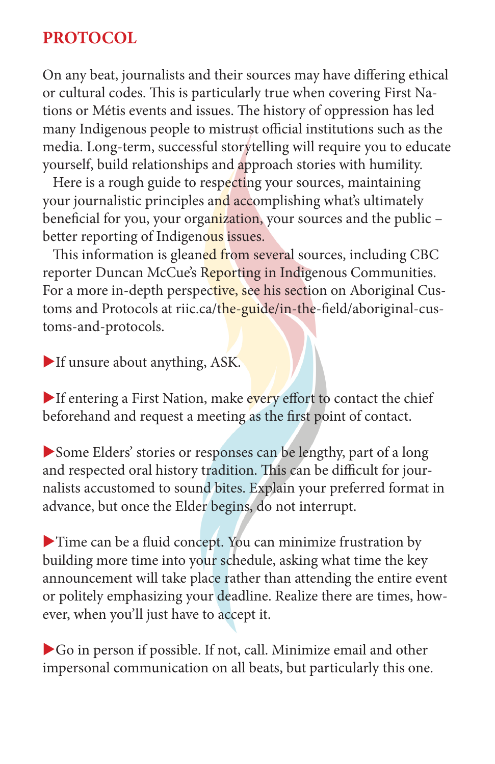## **PROTOCOL**

On any beat, journalists and their sources may have differing ethical or cultural codes. This is particularly true when covering First Nations or Métis events and issues. The history of oppression has led many Indigenous people to mistrust official institutions such as the media. Long-term, successful storytelling will require you to educate yourself, build relationships and approach stories with humility.

 Here is a rough guide to respecting your sources, maintaining your journalistic principles and accomplishing what's ultimately beneficial for you, your organization, your sources and the public – better reporting of Indigenous issues.

This information is gleaned from several sources, including CBC reporter Duncan McCue's Reporting in Indigenous Communities. For a more in-depth perspective, see his section on Aboriginal Customs and Protocols at riic.ca/the-guide/in-the-field/aboriginal-customs-and-protocols.

If unsure about anything, ASK.

If entering a First Nation, make every effort to contact the chief beforehand and request a meeting as the first point of contact.

Some Elders' stories or responses can be lengthy, part of a long and respected oral history tradition. This can be difficult for journalists accustomed to sound bites. Explain your preferred format in advance, but once the Elder begins, do not interrupt.

 $\blacktriangleright$  Time can be a fluid concept. You can minimize frustration by building more time into your schedule, asking what time the key announcement will take place rather than attending the entire event or politely emphasizing your deadline. Realize there are times, however, when you'll just have to accept it.

 $\blacktriangleright$  Go in person if possible. If not, call. Minimize email and other impersonal communication on all beats, but particularly this one.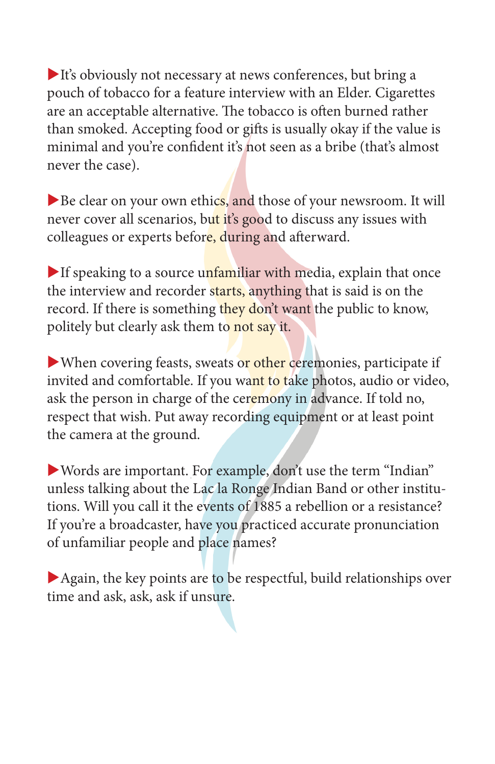$\blacktriangleright$  It's obviously not necessary at news conferences, but bring a pouch of tobacco for a feature interview with an Elder. Cigarettes are an acceptable alternative. The tobacco is often burned rather than smoked. Accepting food or gifts is usually okay if the value is minimal and you're confident it's not seen as a bribe (that's almost never the case).

Be clear on your own ethics, and those of your newsroom. It will never cover all scenarios, but it's good to discuss any issues with colleagues or experts before, during and afterward.

If speaking to a source unfamiliar with media, explain that once the interview and recorder starts, anything that is said is on the record. If there is something they don't want the public to know, politely but clearly ask them to not say it.

 $\blacktriangleright$  When covering feasts, sweats or other ceremonies, participate if invited and comfortable. If you want to take photos, audio or video, ask the person in charge of the ceremony in advance. If told no, respect that wish. Put away recording equipment or at least point the camera at the ground.

 $\blacktriangleright$  Words are important. For example, don't use the term "Indian" unless talking about the Lac la Ronge Indian Band or other institutions. Will you call it the events of 1885 a rebellion or a resistance? If you're a broadcaster, have you practiced accurate pronunciation of unfamiliar people and place names?

 $\blacktriangleright$  Again, the key points are to be respectful, build relationships over time and ask, ask, ask if unsure.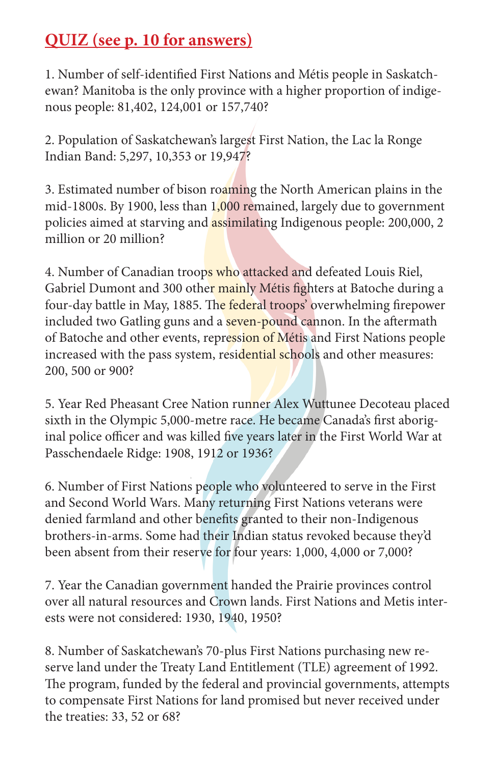## **QUIZ (see p. 10 for answers)**

1. Number of self-identified First Nations and Métis people in Saskatchewan? Manitoba is the only province with a higher proportion of indigenous people: 81,402, 124,001 or 157,740?

2. Population of Saskatchewan's largest First Nation, the Lac la Ronge Indian Band: 5,297, 10,353 or 19,947?

3. Estimated number of bison roaming the North American plains in the mid-1800s. By 1900, less than 1,000 remained, largely due to government policies aimed at starving and **assimilating Indigenous people:** 200,000, 2 million or 20 million?

4. Number of Canadian troops who attacked and defeated Louis Riel, Gabriel Dumont and 300 other mainly Métis fighters at Batoche during a four-day battle in May, 1885. The federal troops' overwhelming firepower included two Gatling guns and a seven-pound cannon. In the aftermath of Batoche and other events, repression of Métis and First Nations people increased with the pass system, residential schools and other measures: 200, 500 or 900?

5. Year Red Pheasant Cree Nation runner Alex Wuttunee Decoteau placed sixth in the Olympic 5,000-metre race. He became Canada's first aboriginal police officer and was killed five years later in the First World War at Passchendaele Ridge: 1908, 1912 or 1936?

6. Number of First Nations people who volunteered to serve in the First and Second World Wars. Many returning First Nations veterans were denied farmland and other benefits granted to their non-Indigenous brothers-in-arms. Some had their Indian status revoked because they'd been absent from their reserve for four years: 1,000, 4,000 or 7,000?

7. Year the Canadian government handed the Prairie provinces control over all natural resources and Crown lands. First Nations and Metis interests were not considered: 1930, 1940, 1950?

8. Number of Saskatchewan's 70-plus First Nations purchasing new reserve land under the Treaty Land Entitlement (TLE) agreement of 1992. The program, funded by the federal and provincial governments, attempts to compensate First Nations for land promised but never received under the treaties: 33, 52 or 68?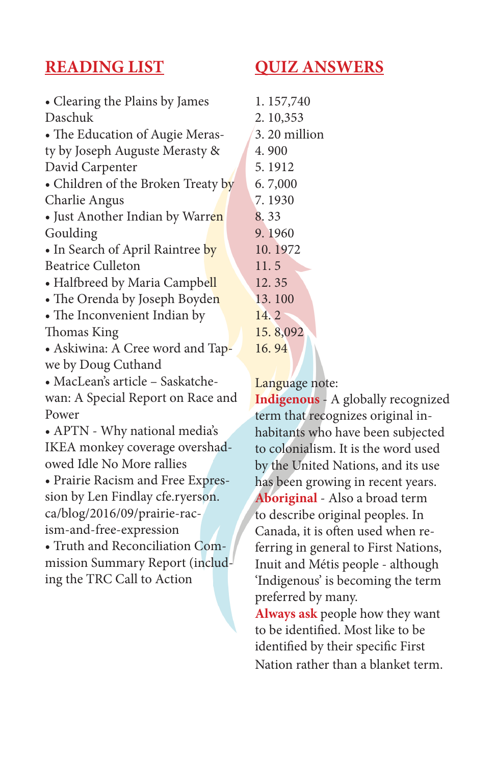## **READING LIST**

## **QUIZ ANSWERS**

| • Clearing the Plains by James     |
|------------------------------------|
| Daschuk                            |
| • The Education of Augie Meras-    |
| ty by Joseph Auguste Merasty &     |
| David Carpenter                    |
| · Children of the Broken Treaty by |
| Charlie Angus                      |
| • Just Another Indian by Warren    |
| Goulding                           |
| • In Search of April Raintree by   |
| <b>Beatrice Culleton</b>           |
| • Halfbreed by Maria Campbell      |
| • The Orenda by Joseph Boyden      |
| • The Inconvenient Indian by       |
| Thomas King                        |
| · Askiwina: A Cree word and Tap-   |
| we by Doug Cuthand                 |
| · MacLean's article - Saskatche-   |
| wan: A Special Report on Race and  |

wan: A Special Report on Race and Power

• APTN - Why national media's IKEA monkey coverage overshadowed Idle No More rallies

• Prairie Racism and Free Expression by Len Findlay cfe.ryerson. ca/blog/2016/09/prairie-racism-and-free-expression

• Truth and Reconciliation Commission Summary Report (including the TRC Call to Action

| 1.157,740    |
|--------------|
| 2.10,353     |
| 3.20 million |
| 4.900        |
| 5.1912       |
| 6.7,000      |
| 7.1930       |
| 8.33         |
| 9. 1960      |
| 10.1972      |
| 11.5         |
| 12.35        |
| 13.100       |
| 14.2         |
| 15.8,092     |
| 16.94        |

Language note:

**Indigenous** - A globally recognized term that recognizes original inhabitants who have been subjected to colonialism. It is the word used by the United Nations, and its use has been growing in recent years. **Aboriginal** - Also a broad term to describe original peoples. In Canada, it is often used when referring in general to First Nations, Inuit and Métis people - although 'Indigenous' is becoming the term preferred by many.

**Always ask** people how they want to be identified. Most like to be identified by their specific First Nation rather than a blanket term.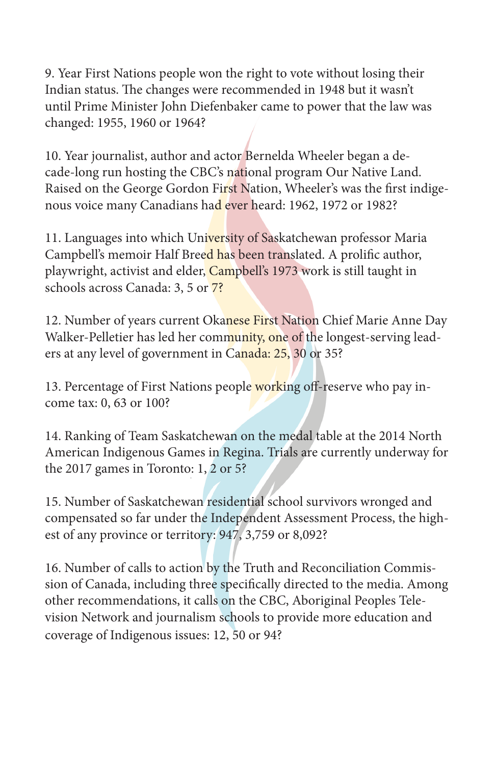9. Year First Nations people won the right to vote without losing their Indian status. The changes were recommended in 1948 but it wasn't until Prime Minister John Diefenbaker came to power that the law was changed: 1955, 1960 or 1964?

10. Year journalist, author and actor Bernelda Wheeler began a decade-long run hosting the CBC's national program Our Native Land. Raised on the George Gordon First Nation, Wheeler's was the first indigenous voice many Canadians had ever heard: 1962, 1972 or 1982?

11. Languages into which University of Saskatchewan professor Maria Campbell's memoir Half Breed has been translated. A prolific author, playwright, activist and elder, Campbell's 1973 work is still taught in schools across Canada: 3, 5 or 7?

12. Number of years current Okanese First Nation Chief Marie Anne Day Walker-Pelletier has led her community, one of the longest-serving leaders at any level of government in Canada: 25, 30 or 35?

13. Percentage of First Nations people working off-reserve who pay income tax: 0, 63 or 100?

14. Ranking of Team Saskatchewan on the medal table at the 2014 North American Indigenous Games in Regina. Trials are currently underway for the 2017 games in Toronto: 1, 2 or 5?

15. Number of Saskatchewan residential school survivors wronged and compensated so far under the Independent Assessment Process, the highest of any province or territory: 947, 3,759 or 8,092?

16. Number of calls to action by the Truth and Reconciliation Commission of Canada, including three specifically directed to the media. Among other recommendations, it calls on the CBC, Aboriginal Peoples Television Network and journalism schools to provide more education and coverage of Indigenous issues: 12, 50 or 94?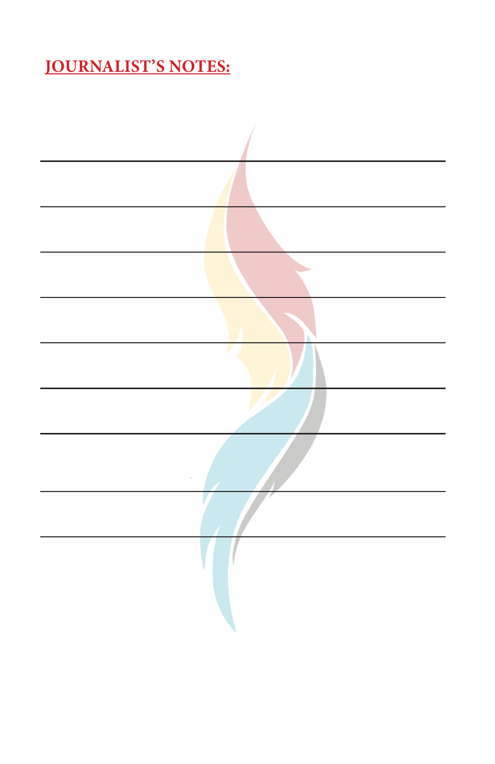## **JOURNALIST'S NOTES:**